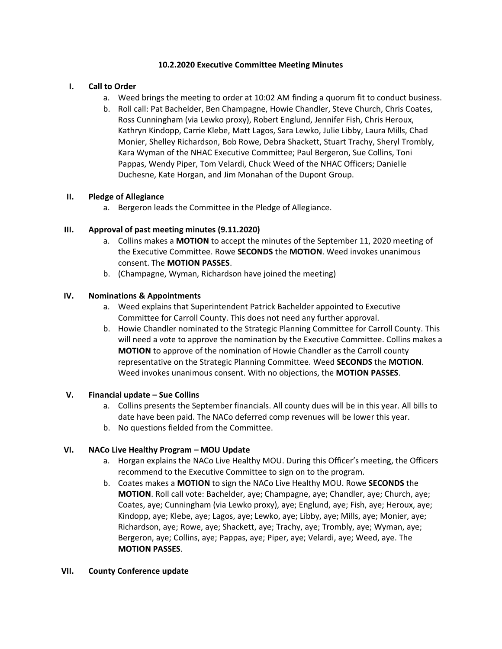### **10.2.2020 Executive Committee Meeting Minutes**

### **I. Call to Order**

- a. Weed brings the meeting to order at 10:02 AM finding a quorum fit to conduct business.
- b. Roll call: Pat Bachelder, Ben Champagne, Howie Chandler, Steve Church, Chris Coates, Ross Cunningham (via Lewko proxy), Robert Englund, Jennifer Fish, Chris Heroux, Kathryn Kindopp, Carrie Klebe, Matt Lagos, Sara Lewko, Julie Libby, Laura Mills, Chad Monier, Shelley Richardson, Bob Rowe, Debra Shackett, Stuart Trachy, Sheryl Trombly, Kara Wyman of the NHAC Executive Committee; Paul Bergeron, Sue Collins, Toni Pappas, Wendy Piper, Tom Velardi, Chuck Weed of the NHAC Officers; Danielle Duchesne, Kate Horgan, and Jim Monahan of the Dupont Group.

### **II. Pledge of Allegiance**

a. Bergeron leads the Committee in the Pledge of Allegiance.

## **III. Approval of past meeting minutes (9.11.2020)**

- a. Collins makes a **MOTION** to accept the minutes of the September 11, 2020 meeting of the Executive Committee. Rowe **SECONDS** the **MOTION**. Weed invokes unanimous consent. The **MOTION PASSES**.
- b. (Champagne, Wyman, Richardson have joined the meeting)

## **IV. Nominations & Appointments**

- a. Weed explains that Superintendent Patrick Bachelder appointed to Executive Committee for Carroll County. This does not need any further approval.
- b. Howie Chandler nominated to the Strategic Planning Committee for Carroll County. This will need a vote to approve the nomination by the Executive Committee. Collins makes a **MOTION** to approve of the nomination of Howie Chandler as the Carroll county representative on the Strategic Planning Committee. Weed **SECONDS** the **MOTION**. Weed invokes unanimous consent. With no objections, the **MOTION PASSES**.

### **V. Financial update – Sue Collins**

- a. Collins presents the September financials. All county dues will be in this year. All bills to date have been paid. The NACo deferred comp revenues will be lower this year.
- b. No questions fielded from the Committee.

### **VI. NACo Live Healthy Program – MOU Update**

- a. Horgan explains the NACo Live Healthy MOU. During this Officer's meeting, the Officers recommend to the Executive Committee to sign on to the program.
- b. Coates makes a **MOTION** to sign the NACo Live Healthy MOU. Rowe **SECONDS** the **MOTION**. Roll call vote: Bachelder, aye; Champagne, aye; Chandler, aye; Church, aye; Coates, aye; Cunningham (via Lewko proxy), aye; Englund, aye; Fish, aye; Heroux, aye; Kindopp, aye; Klebe, aye; Lagos, aye; Lewko, aye; Libby, aye; Mills, aye; Monier, aye; Richardson, aye; Rowe, aye; Shackett, aye; Trachy, aye; Trombly, aye; Wyman, aye; Bergeron, aye; Collins, aye; Pappas, aye; Piper, aye; Velardi, aye; Weed, aye. The **MOTION PASSES**.

### **VII. County Conference update**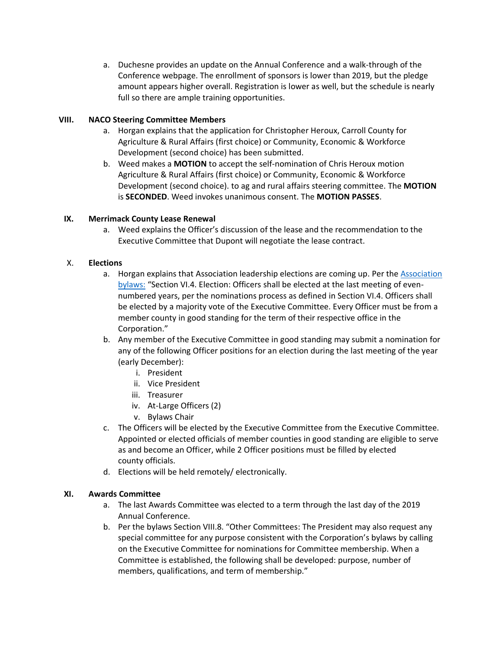a. Duchesne provides an update on the Annual Conference and a walk-through of the Conference webpage. The enrollment of sponsors is lower than 2019, but the pledge amount appears higher overall. Registration is lower as well, but the schedule is nearly full so there are ample training opportunities.

# **VIII. NACO Steering Committee Members**

- a. Horgan explains that the application for Christopher Heroux, Carroll County for Agriculture & Rural Affairs (first choice) or Community, Economic & Workforce Development (second choice) has been submitted.
- b. Weed makes a **MOTION** to accept the self-nomination of Chris Heroux motion Agriculture & Rural Affairs (first choice) or Community, Economic & Workforce Development (second choice). to ag and rural affairs steering committee. The **MOTION**  is **SECONDED**. Weed invokes unanimous consent. The **MOTION PASSES**.

# **IX. Merrimack County Lease Renewal**

a. Weed explains the Officer's discussion of the lease and the recommendation to the Executive Committee that Dupont will negotiate the lease contract.

# X. **Elections**

- a. Horgan explains that [Association](https://9b360cfd-40fd-44fc-bf11-2c06073811ff.filesusr.com/ugd/2d2e8b_4640b85ac8284b7f8fc6767edbf0dd16.pdf) leadership elections are coming up. Per the Association [bylaws:](https://9b360cfd-40fd-44fc-bf11-2c06073811ff.filesusr.com/ugd/2d2e8b_4640b85ac8284b7f8fc6767edbf0dd16.pdf) "Section VI.4. Election: Officers shall be elected at the last meeting of evennumbered years, per the nominations process as defined in Section VI.4. Officers shall be elected by a majority vote of the Executive Committee. Every Officer must be from a member county in good standing for the term of their respective office in the Corporation."
- b. Any member of the Executive Committee in good standing may submit a nomination for any of the following Officer positions for an election during the last meeting of the year (early December):
	- i. President
	- ii. Vice President
	- iii. Treasurer
	- iv. At-Large Officers (2)
	- v. Bylaws Chair
- c. The Officers will be elected by the Executive Committee from the Executive Committee. Appointed or elected officials of member counties in good standing are eligible to serve as and become an Officer, while 2 Officer positions must be filled by elected county officials.
- d. Elections will be held remotely/ electronically.

# **XI. Awards Committee**

- a. The last Awards Committee was elected to a term through the last day of the 2019 Annual Conference.
- b. Per the bylaws Section VIII.8. "Other Committees: The President may also request any special committee for any purpose consistent with the Corporation's bylaws by calling on the Executive Committee for nominations for Committee membership. When a Committee is established, the following shall be developed: purpose, number of members, qualifications, and term of membership."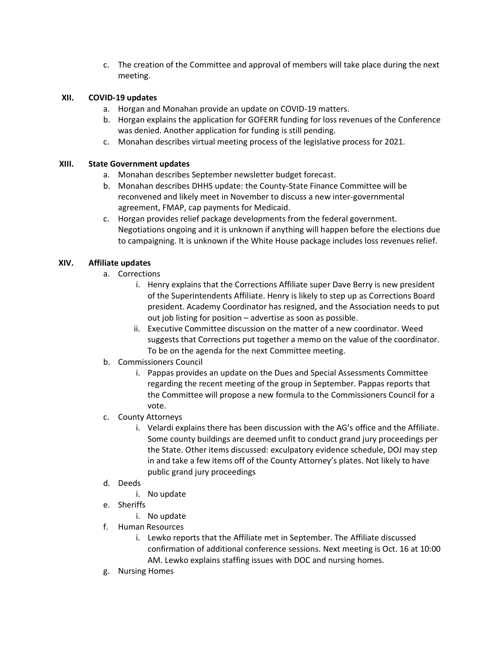c. The creation of the Committee and approval of members will take place during the next meeting.

## **XII. COVID-19 updates**

- a. Horgan and Monahan provide an update on COVID-19 matters.
- b. Horgan explains the application for GOFERR funding for loss revenues of the Conference was denied. Another application for funding is still pending.
- c. Monahan describes virtual meeting process of the legislative process for 2021.

## **XIII. State Government updates**

- a. Monahan describes September newsletter budget forecast.
- b. Monahan describes DHHS update: the County-State Finance Committee will be reconvened and likely meet in November to discuss a new inter-governmental agreement, FMAP, cap payments for Medicaid.
- c. Horgan provides relief package developments from the federal government. Negotiations ongoing and it is unknown if anything will happen before the elections due to campaigning. It is unknown if the White House package includes loss revenues relief.

## **XIV. Affiliate updates**

- a. Corrections
	- i. Henry explains that the Corrections Affiliate super Dave Berry is new president of the Superintendents Affiliate. Henry is likely to step up as Corrections Board president. Academy Coordinator has resigned, and the Association needs to put out job listing for position – advertise as soon as possible.
	- ii. Executive Committee discussion on the matter of a new coordinator. Weed suggests that Corrections put together a memo on the value of the coordinator. To be on the agenda for the next Committee meeting.
- b. Commissioners Council
	- i. Pappas provides an update on the Dues and Special Assessments Committee regarding the recent meeting of the group in September. Pappas reports that the Committee will propose a new formula to the Commissioners Council for a vote.
- c. County Attorneys
	- i. Velardi explains there has been discussion with the AG's office and the Affiliate. Some county buildings are deemed unfit to conduct grand jury proceedings per the State. Other items discussed: exculpatory evidence schedule, DOJ may step in and take a few items off of the County Attorney's plates. Not likely to have public grand jury proceedings
- d. Deeds
	- i. No update
- e. Sheriffs
	- i. No update
- f. Human Resources
	- i. Lewko reports that the Affiliate met in September. The Affiliate discussed confirmation of additional conference sessions. Next meeting is Oct. 16 at 10:00 AM. Lewko explains staffing issues with DOC and nursing homes.
- g. Nursing Homes